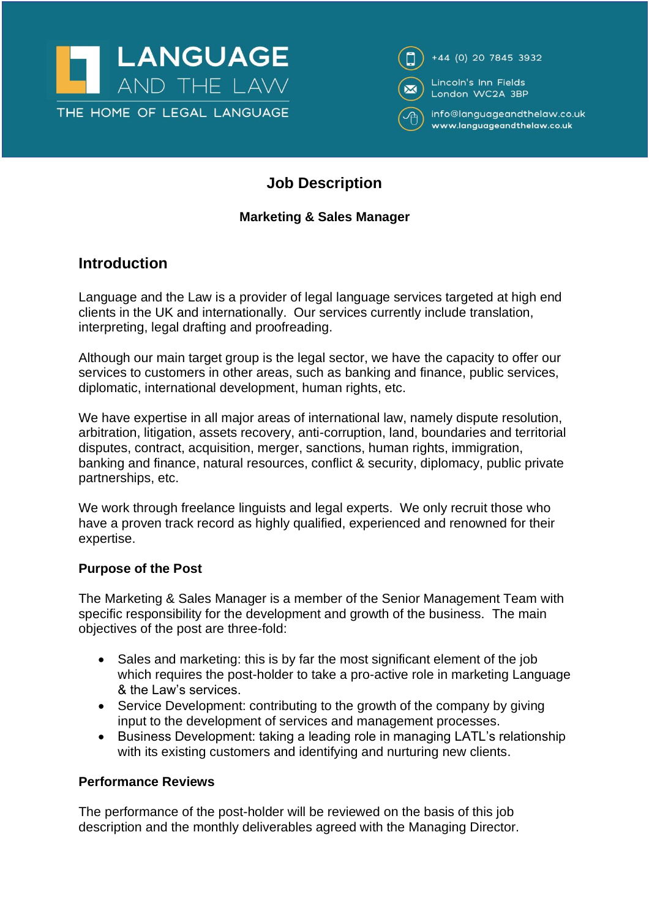



# **Job Description**

### **Marketing & Sales Manager**

## **Introduction**

Language and the Law is a provider of legal language services targeted at high end clients in the UK and internationally. Our services currently include translation, interpreting, legal drafting and proofreading.

Although our main target group is the legal sector, we have the capacity to offer our services to customers in other areas, such as banking and finance, public services, diplomatic, international development, human rights, etc.

We have expertise in all major areas of international law, namely dispute resolution, arbitration, litigation, assets recovery, anti-corruption, land, boundaries and territorial disputes, contract, acquisition, merger, sanctions, human rights, immigration, banking and finance, natural resources, conflict & security, diplomacy, public private partnerships, etc.

We work through freelance linguists and legal experts. We only recruit those who have a proven track record as highly qualified, experienced and renowned for their expertise.

#### **Purpose of the Post**

The Marketing & Sales Manager is a member of the Senior Management Team with specific responsibility for the development and growth of the business. The main objectives of the post are three-fold:

- Sales and marketing: this is by far the most significant element of the job which requires the post-holder to take a pro-active role in marketing Language & the Law's services.
- Service Development: contributing to the growth of the company by giving input to the development of services and management processes.
- Business Development: taking a leading role in managing LATL's relationship with its existing customers and identifying and nurturing new clients.

#### **Performance Reviews**

The performance of the post-holder will be reviewed on the basis of this job description and the monthly deliverables agreed with the Managing Director.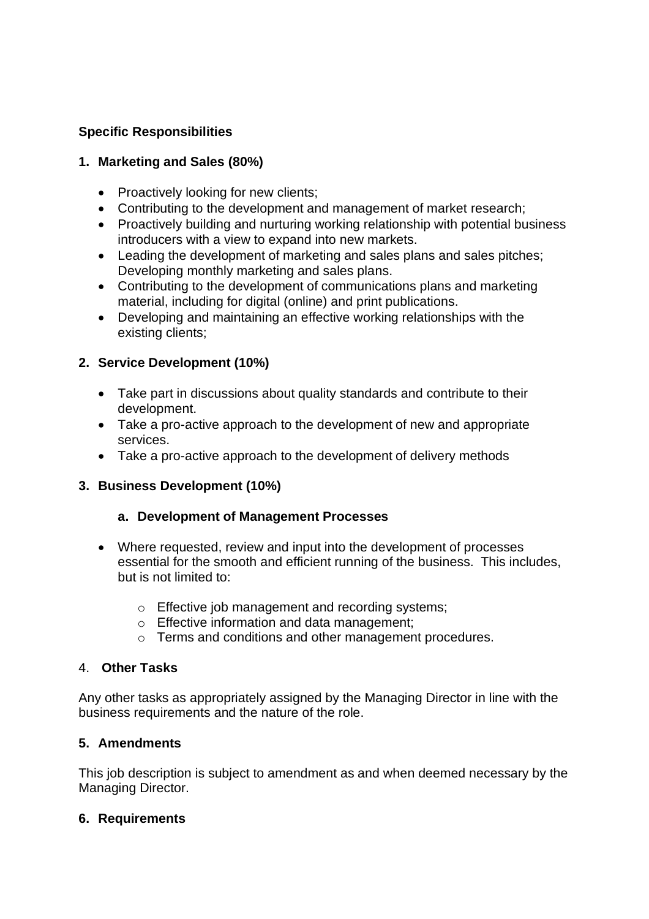### **Specific Responsibilities**

#### **1. Marketing and Sales (80%)**

- Proactively looking for new clients;
- Contributing to the development and management of market research;
- Proactively building and nurturing working relationship with potential business introducers with a view to expand into new markets.
- Leading the development of marketing and sales plans and sales pitches; Developing monthly marketing and sales plans.
- Contributing to the development of communications plans and marketing material, including for digital (online) and print publications.
- Developing and maintaining an effective working relationships with the existing clients;

#### **2. Service Development (10%)**

- Take part in discussions about quality standards and contribute to their development.
- Take a pro-active approach to the development of new and appropriate services.
- Take a pro-active approach to the development of delivery methods

#### **3. Business Development (10%)**

#### **a. Development of Management Processes**

- Where requested, review and input into the development of processes essential for the smooth and efficient running of the business. This includes, but is not limited to:
	- o Effective job management and recording systems;
	- o Effective information and data management;
	- o Terms and conditions and other management procedures.

#### 4. **Other Tasks**

Any other tasks as appropriately assigned by the Managing Director in line with the business requirements and the nature of the role.

#### **5. Amendments**

This job description is subject to amendment as and when deemed necessary by the Managing Director.

#### **6. Requirements**